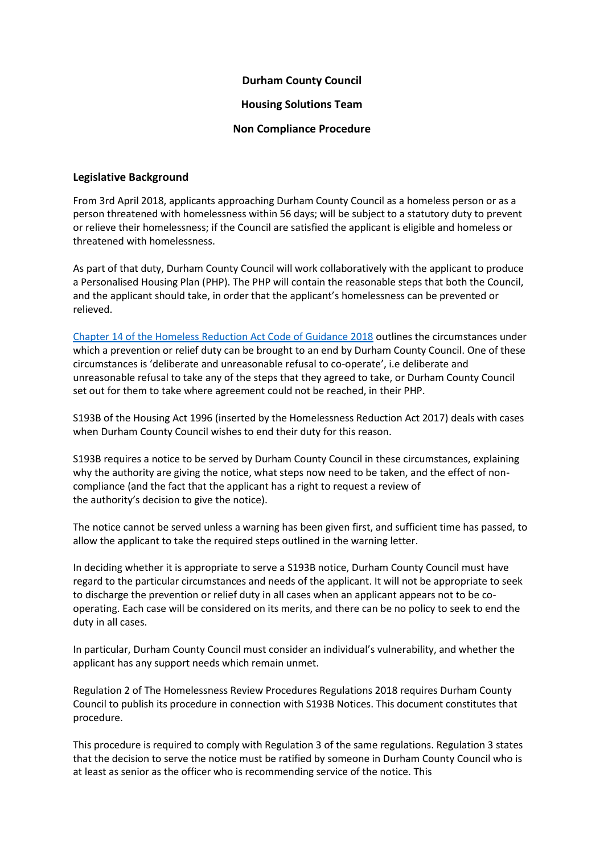# **Durham County Council**

#### **Housing Solutions Team**

#### **Non Compliance Procedure**

# **Legislative Background**

From 3rd April 2018, applicants approaching Durham County Council as a homeless person or as a person threatened with homelessness within 56 days; will be subject to a statutory duty to prevent or relieve their homelessness; if the Council are satisfied the applicant is eligible and homeless or threatened with homelessness.

As part of that duty, Durham County Council will work collaboratively with the applicant to produce a Personalised Housing Plan (PHP). The PHP will contain the reasonable steps that both the Council, and the applicant should take, in order that the applicant's homelessness can be prevented or relieved.

[Chapter 14 of the Homeless Reduction Act Code of Guidance 2018](https://www.gov.uk/guidance/homelessness-code-of-guidance-for-local-authorities/chapter-14-ending-the-prevention-and-relief-duties) outlines the circumstances under which a prevention or relief duty can be brought to an end by Durham County Council. One of these circumstances is 'deliberate and unreasonable refusal to co-operate', i.e deliberate and unreasonable refusal to take any of the steps that they agreed to take, or Durham County Council set out for them to take where agreement could not be reached, in their PHP.

S193B of the Housing Act 1996 (inserted by the Homelessness Reduction Act 2017) deals with cases when Durham County Council wishes to end their duty for this reason.

S193B requires a notice to be served by Durham County Council in these circumstances, explaining why the authority are giving the notice, what steps now need to be taken, and the effect of noncompliance (and the fact that the applicant has a right to request a review of the authority's decision to give the notice).

The notice cannot be served unless a warning has been given first, and sufficient time has passed, to allow the applicant to take the required steps outlined in the warning letter.

In deciding whether it is appropriate to serve a S193B notice, Durham County Council must have regard to the particular circumstances and needs of the applicant. It will not be appropriate to seek to discharge the prevention or relief duty in all cases when an applicant appears not to be cooperating. Each case will be considered on its merits, and there can be no policy to seek to end the duty in all cases.

In particular, Durham County Council must consider an individual's vulnerability, and whether the applicant has any support needs which remain unmet.

Regulation 2 of The Homelessness Review Procedures Regulations 2018 requires Durham County Council to publish its procedure in connection with S193B Notices. This document constitutes that procedure.

This procedure is required to comply with Regulation 3 of the same regulations. Regulation 3 states that the decision to serve the notice must be ratified by someone in Durham County Council who is at least as senior as the officer who is recommending service of the notice. This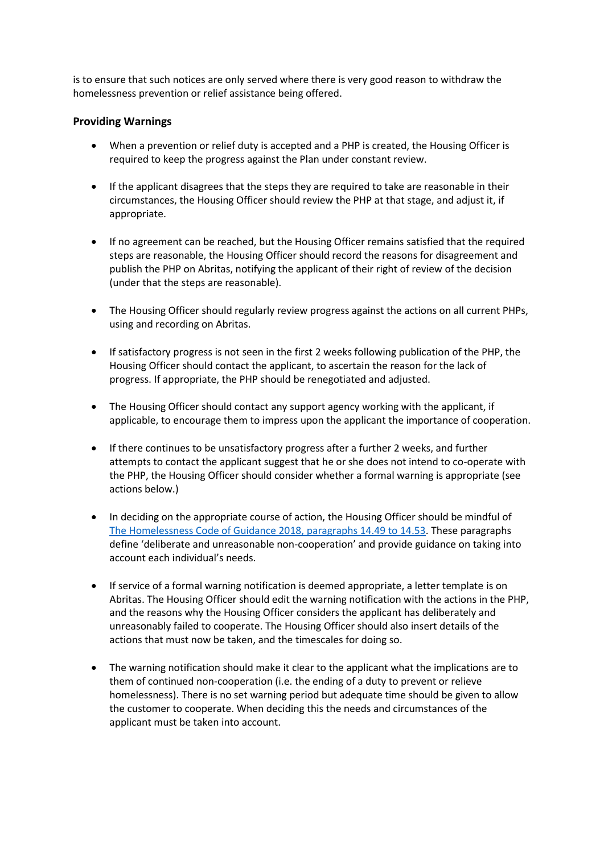is to ensure that such notices are only served where there is very good reason to withdraw the homelessness prevention or relief assistance being offered.

#### **Providing Warnings**

- When a prevention or relief duty is accepted and a PHP is created, the Housing Officer is required to keep the progress against the Plan under constant review.
- If the applicant disagrees that the steps they are required to take are reasonable in their circumstances, the Housing Officer should review the PHP at that stage, and adjust it, if appropriate.
- If no agreement can be reached, but the Housing Officer remains satisfied that the required steps are reasonable, the Housing Officer should record the reasons for disagreement and publish the PHP on Abritas, notifying the applicant of their right of review of the decision (under that the steps are reasonable).
- The Housing Officer should regularly review progress against the actions on all current PHPs, using and recording on Abritas.
- If satisfactory progress is not seen in the first 2 weeks following publication of the PHP, the Housing Officer should contact the applicant, to ascertain the reason for the lack of progress. If appropriate, the PHP should be renegotiated and adjusted.
- The Housing Officer should contact any support agency working with the applicant, if applicable, to encourage them to impress upon the applicant the importance of cooperation.
- If there continues to be unsatisfactory progress after a further 2 weeks, and further attempts to contact the applicant suggest that he or she does not intend to co-operate with the PHP, the Housing Officer should consider whether a formal warning is appropriate (see actions below.)
- In deciding on the appropriate course of action, the Housing Officer should be mindful of [The Homelessness Code of Guidance 2018, paragraphs 14.49 to 14.53.](https://www.gov.uk/guidance/homelessness-code-of-guidance-for-local-authorities/chapter-14-ending-the-prevention-and-relief-duties) These paragraphs define 'deliberate and unreasonable non-cooperation' and provide guidance on taking into account each individual's needs.
- If service of a formal warning notification is deemed appropriate, a letter template is on Abritas. The Housing Officer should edit the warning notification with the actions in the PHP, and the reasons why the Housing Officer considers the applicant has deliberately and unreasonably failed to cooperate. The Housing Officer should also insert details of the actions that must now be taken, and the timescales for doing so.
- The warning notification should make it clear to the applicant what the implications are to them of continued non-cooperation (i.e. the ending of a duty to prevent or relieve homelessness). There is no set warning period but adequate time should be given to allow the customer to cooperate. When deciding this the needs and circumstances of the applicant must be taken into account.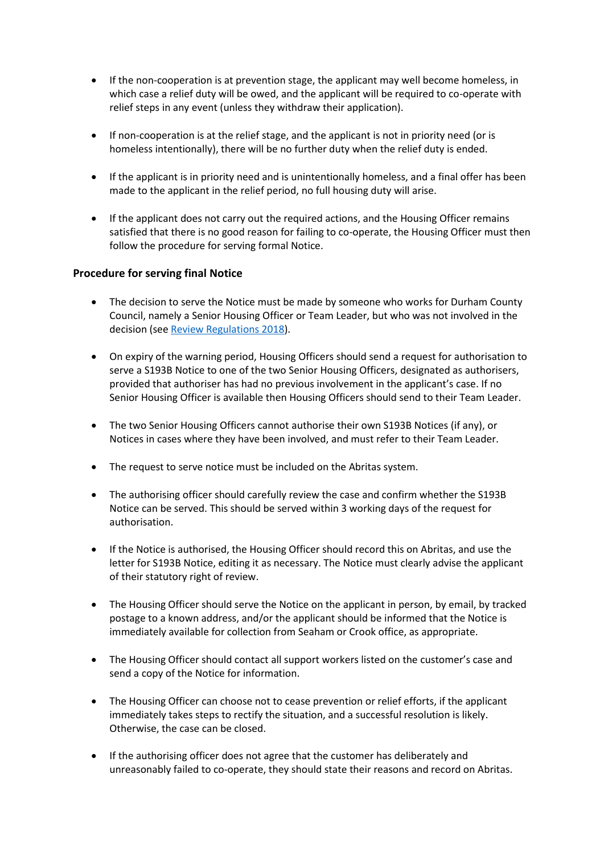- If the non-cooperation is at prevention stage, the applicant may well become homeless, in which case a relief duty will be owed, and the applicant will be required to co-operate with relief steps in any event (unless they withdraw their application).
- If non-cooperation is at the relief stage, and the applicant is not in priority need (or is homeless intentionally), there will be no further duty when the relief duty is ended.
- If the applicant is in priority need and is unintentionally homeless, and a final offer has been made to the applicant in the relief period, no full housing duty will arise.
- If the applicant does not carry out the required actions, and the Housing Officer remains satisfied that there is no good reason for failing to co-operate, the Housing Officer must then follow the procedure for serving formal Notice.

# **Procedure for serving final Notice**

- The decision to serve the Notice must be made by someone who works for Durham County Council, namely a Senior Housing Officer or Team Leader, but who was not involved in the decision (see [Review Regulations 2018](http://www.legislation.gov.uk/uksi/2018/223/part/2/made)).
- On expiry of the warning period, Housing Officers should send a request for authorisation to serve a S193B Notice to one of the two Senior Housing Officers, designated as authorisers, provided that authoriser has had no previous involvement in the applicant's case. If no Senior Housing Officer is available then Housing Officers should send to their Team Leader.
- The two Senior Housing Officers cannot authorise their own S193B Notices (if any), or Notices in cases where they have been involved, and must refer to their Team Leader.
- The request to serve notice must be included on the Abritas system.
- The authorising officer should carefully review the case and confirm whether the S193B Notice can be served. This should be served within 3 working days of the request for authorisation.
- If the Notice is authorised, the Housing Officer should record this on Abritas, and use the letter for S193B Notice, editing it as necessary. The Notice must clearly advise the applicant of their statutory right of review.
- The Housing Officer should serve the Notice on the applicant in person, by email, by tracked postage to a known address, and/or the applicant should be informed that the Notice is immediately available for collection from Seaham or Crook office, as appropriate.
- The Housing Officer should contact all support workers listed on the customer's case and send a copy of the Notice for information.
- The Housing Officer can choose not to cease prevention or relief efforts, if the applicant immediately takes steps to rectify the situation, and a successful resolution is likely. Otherwise, the case can be closed.
- If the authorising officer does not agree that the customer has deliberately and unreasonably failed to co-operate, they should state their reasons and record on Abritas.